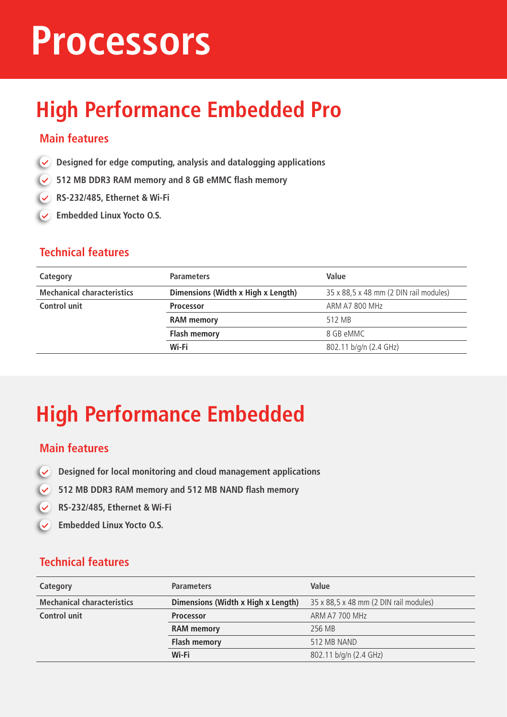## **Processors**

## **High Performance Embedded Pro**

#### **Main features**

- **Designed for edge computing, analysis and datalogging applications**
- **512 MB DDR3 RAM memory and 8 GB eMMC flash memory**
- **RS-232/485, Ethernet & Wi-Fi**
- **Embedded Linux Yocto O.S.**

#### **Technical features**

| Category                          | <b>Parameters</b>                  | Value                                  |
|-----------------------------------|------------------------------------|----------------------------------------|
| <b>Mechanical characteristics</b> | Dimensions (Width x High x Length) | 35 x 88,5 x 48 mm (2 DIN rail modules) |
| Control unit                      | <b>Processor</b>                   | ARM A7 800 MHz                         |
|                                   | <b>RAM</b> memory                  | 512 MB                                 |
|                                   | <b>Flash memory</b>                | 8 GB eMMC                              |
|                                   | Wi-Fi                              | 802.11 b/g/n (2.4 GHz)                 |
|                                   |                                    |                                        |

## **High Performance Embedded**

#### **Main features**

- $\overline{\mathsf{v}}$ **Designed for local monitoring and cloud management applications**
- **512 MB DDR3 RAM memory and 512 MB NAND flash memory**
- **RS-232/485, Ethernet & Wi-Fi**
- **Embedded Linux Yocto O.S.**

| Category                          | <b>Parameters</b>                  | Value                                  |
|-----------------------------------|------------------------------------|----------------------------------------|
| <b>Mechanical characteristics</b> | Dimensions (Width x High x Length) | 35 x 88,5 x 48 mm (2 DIN rail modules) |
| Control unit                      | <b>Processor</b>                   | ARM A7 700 MHz                         |
|                                   | <b>RAM</b> memory                  | 256 MB                                 |
|                                   | <b>Flash memory</b>                | 512 MB NAND                            |
|                                   | Wi-Fi                              | 802.11 b/g/n (2.4 GHz)                 |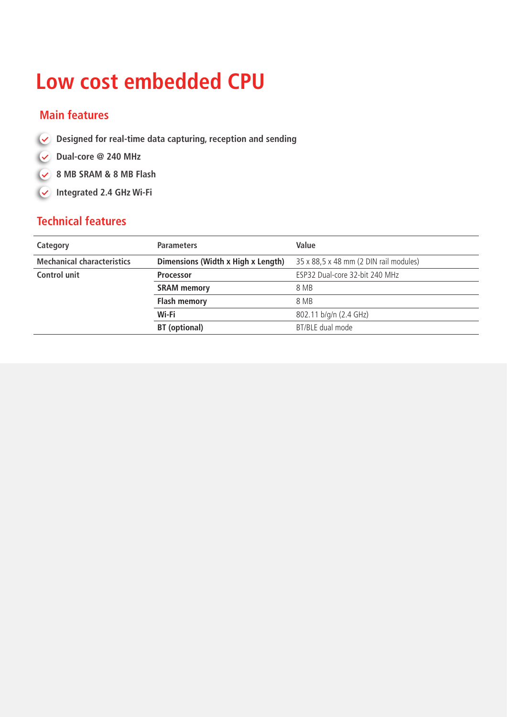### **Low cost embedded CPU**

#### **Main features**

- **Designed for real-time data capturing, reception and sending**
- **Dual-core @ 240 MHz**
- **8 MB SRAM & 8 MB Flash**
- **Integrated 2.4 GHz Wi-Fi**

| <b>Parameters</b>                  | Value                                  |
|------------------------------------|----------------------------------------|
| Dimensions (Width x High x Length) | 35 x 88,5 x 48 mm (2 DIN rail modules) |
| <b>Processor</b>                   | ESP32 Dual-core 32-bit 240 MHz         |
| <b>SRAM</b> memory                 | 8 MB                                   |
| <b>Flash memory</b>                | 8 MB                                   |
| Wi-Fi                              | 802.11 b/g/n (2.4 GHz)                 |
| <b>BT</b> (optional)               | BT/BLE dual mode                       |
|                                    |                                        |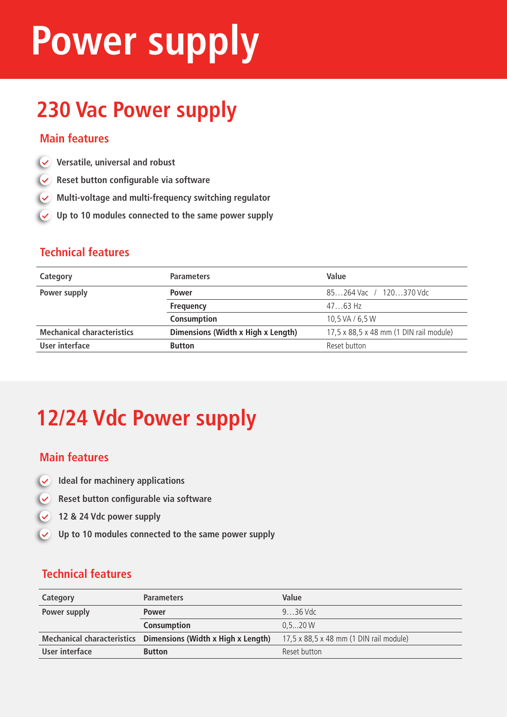## **Power supply**

## **230 Vac Power supply**

#### **Main features**

- **Versatile, universal and robust**
- **Reset button configurable via software**
- **Multi-voltage and multi-frequency switching regulator**
- **Up to 10 modules connected to the same power supply**

#### **Technical features**

| Category                          | <b>Parameters</b>                  | Value                                   |
|-----------------------------------|------------------------------------|-----------------------------------------|
| Power supply                      | <b>Power</b>                       | 85264 Vac / 120370 Vdc                  |
|                                   | <b>Frequency</b>                   | $4763$ Hz                               |
|                                   | Consumption                        | 10.5 VA / 6.5 W                         |
| <b>Mechanical characteristics</b> | Dimensions (Width x High x Length) | 17,5 x 88,5 x 48 mm (1 DIN rail module) |
| User interface                    | <b>Button</b>                      | Reset button                            |
|                                   |                                    |                                         |

## **12/24 Vdc Power supply**

#### **Main features**

- **Ideal for machinery applications**  $\overline{\mathbf{v}}$
- **Reset button configurable via software**
- **12 & 24 Vdc power supply**
- **Up to 10 modules connected to the same power supply**

| Category       | <b>Parameters</b>                                             | Value                                   |
|----------------|---------------------------------------------------------------|-----------------------------------------|
| Power supply   | <b>Power</b>                                                  | $9.36$ Vdc                              |
|                | <b>Consumption</b>                                            | 0.520 W                                 |
|                | Mechanical characteristics Dimensions (Width x High x Length) | 17,5 x 88,5 x 48 mm (1 DIN rail module) |
| User interface | <b>Button</b>                                                 | Reset button                            |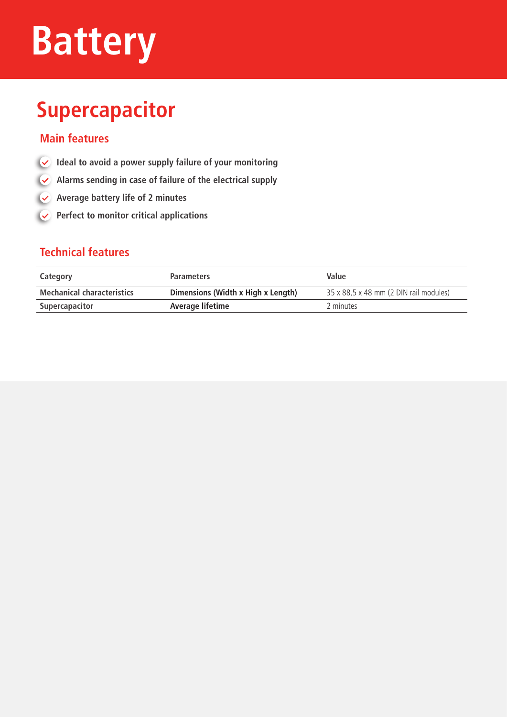## **Battery**

## **Supercapacitor**

#### **Main features**

- **Ideal to avoid a power supply failure of your monitoring**
- **Alarms sending in case of failure of the electrical supply**
- **Average battery life of 2 minutes**
- **Perfect to monitor critical applications**

| Category                          | <b>Parameters</b>                  | Value                                  |
|-----------------------------------|------------------------------------|----------------------------------------|
| <b>Mechanical characteristics</b> | Dimensions (Width x High x Length) | 35 x 88,5 x 48 mm (2 DIN rail modules) |
| Supercapacitor                    | Average lifetime                   | 2 minutes                              |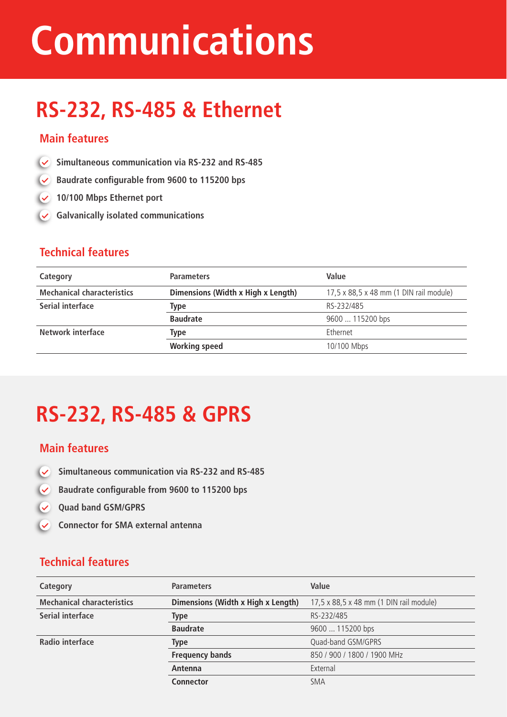## **Communications**

## **RS-232, RS-485 & Ethernet**

#### **Main features**

- **Simultaneous communication via RS-232 and RS-485**
- **Baudrate configurable from 9600 to 115200 bps**
- **10/100 Mbps Ethernet port**
- **Galvanically isolated communications**

#### **Technical features**

| Category                          | <b>Parameters</b>                  | Value                                   |
|-----------------------------------|------------------------------------|-----------------------------------------|
| <b>Mechanical characteristics</b> | Dimensions (Width x High x Length) | 17,5 x 88,5 x 48 mm (1 DIN rail module) |
| Serial interface                  | Type                               | RS-232/485                              |
|                                   | <b>Baudrate</b>                    | 9600  115200 bps                        |
| Network interface                 | Type                               | <b>Fthernet</b>                         |
|                                   | <b>Working speed</b>               | 10/100 Mbps                             |

## **RS-232, RS-485 & GPRS**

#### **Main features**

- $\overline{\mathcal{L}}$ **Simultaneous communication via RS-232 and RS-485**
- $\overline{\mathbf{v}}$ **Baudrate configurable from 9600 to 115200 bps**
- $\overline{\mathbf{v}}$ **Quad band GSM/GPRS**
- **Connector for SMA external antenna**  $\overline{\mathsf{v}}$

| Category                          | <b>Parameters</b>                  | Value                                   |
|-----------------------------------|------------------------------------|-----------------------------------------|
| <b>Mechanical characteristics</b> | Dimensions (Width x High x Length) | 17,5 x 88,5 x 48 mm (1 DIN rail module) |
| Serial interface                  | Type                               | RS-232/485                              |
|                                   | <b>Baudrate</b>                    | 9600  115200 bps                        |
| Radio interface                   | <b>Type</b>                        | Quad-band GSM/GPRS                      |
|                                   | <b>Frequency bands</b>             | 850 / 900 / 1800 / 1900 MHz             |
|                                   | Antenna                            | External                                |
|                                   | <b>Connector</b>                   | <b>SMA</b>                              |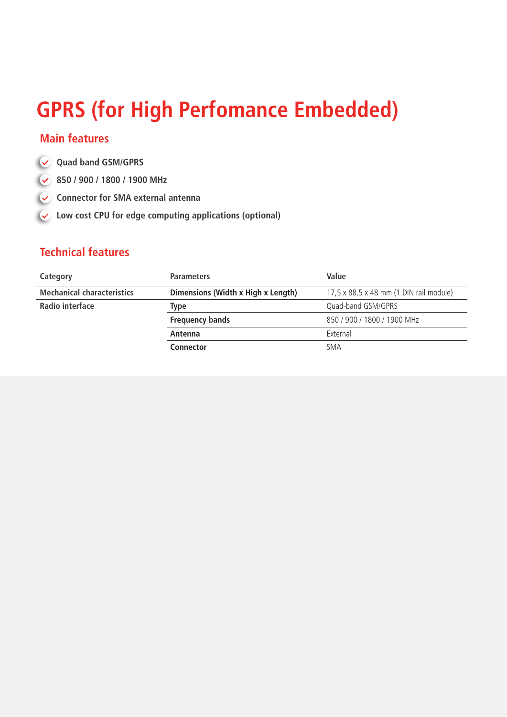### **GPRS (for High Perfomance Embedded)**

#### **Main features**

- **Quad band GSM/GPRS**
- **850 / 900 / 1800 / 1900 MHz**
- Connector for SMA external antenna
- **Low cost CPU for edge computing applications (optional)**

| Category                          | <b>Parameters</b>                  | Value                                   |
|-----------------------------------|------------------------------------|-----------------------------------------|
| <b>Mechanical characteristics</b> | Dimensions (Width x High x Length) | 17,5 x 88,5 x 48 mm (1 DIN rail module) |
| Radio interface                   | Type                               | Quad-band GSM/GPRS                      |
|                                   | <b>Frequency bands</b>             | 850 / 900 / 1800 / 1900 MHz             |
|                                   | Antenna                            | External                                |
|                                   | <b>Connector</b>                   | <b>SMA</b>                              |
|                                   |                                    |                                         |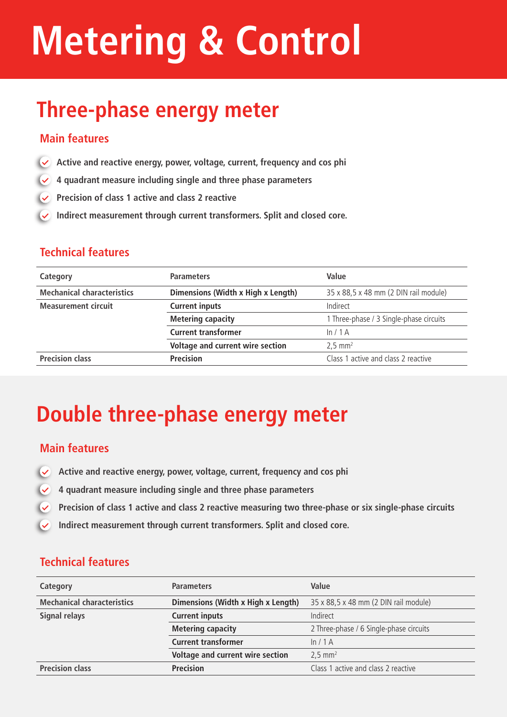# **Metering & Control**

## **Three-phase energy meter**

#### **Main features**

- **Active and reactive energy, power, voltage, current, frequency and cos phi**
- **4 quadrant measure including single and three phase parameters**
- **Precision of class 1 active and class 2 reactive**
- **Indirect measurement through current transformers. Split and closed core.**

#### **Technical features**

| Category                          | <b>Parameters</b>                  | Value                                   |
|-----------------------------------|------------------------------------|-----------------------------------------|
| <b>Mechanical characteristics</b> | Dimensions (Width x High x Length) | 35 x 88,5 x 48 mm (2 DIN rail module)   |
| <b>Measurement circuit</b>        | <b>Current inputs</b>              | Indirect                                |
|                                   | <b>Metering capacity</b>           | 1 Three-phase / 3 Single-phase circuits |
|                                   | <b>Current transformer</b>         | ln/1A                                   |
|                                   | Voltage and current wire section   | $2,5$ mm <sup>2</sup>                   |
| <b>Precision class</b>            | <b>Precision</b>                   | Class 1 active and class 2 reactive     |

### **Double three-phase energy meter**

#### **Main features**

- $\sqrt{2}$ **Active and reactive energy, power, voltage, current, frequency and cos phi**
- **4 quadrant measure including single and three phase parameters**
- **Precision of class 1 active and class 2 reactive measuring two three-phase or six single-phase circuits**
- $\overline{\mathbf{v}}$ **Indirect measurement through current transformers. Split and closed core.**

| Category                          | <b>Parameters</b>                  | Value                                   |
|-----------------------------------|------------------------------------|-----------------------------------------|
| <b>Mechanical characteristics</b> | Dimensions (Width x High x Length) | 35 x 88,5 x 48 mm (2 DIN rail module)   |
| Signal relays                     | <b>Current inputs</b>              | Indirect                                |
|                                   | <b>Metering capacity</b>           | 2 Three-phase / 6 Single-phase circuits |
|                                   | <b>Current transformer</b>         | ln/1A                                   |
|                                   | Voltage and current wire section   | $2.5 \text{ mm}^2$                      |
| <b>Precision class</b>            | <b>Precision</b>                   | Class 1 active and class 2 reactive     |
|                                   |                                    |                                         |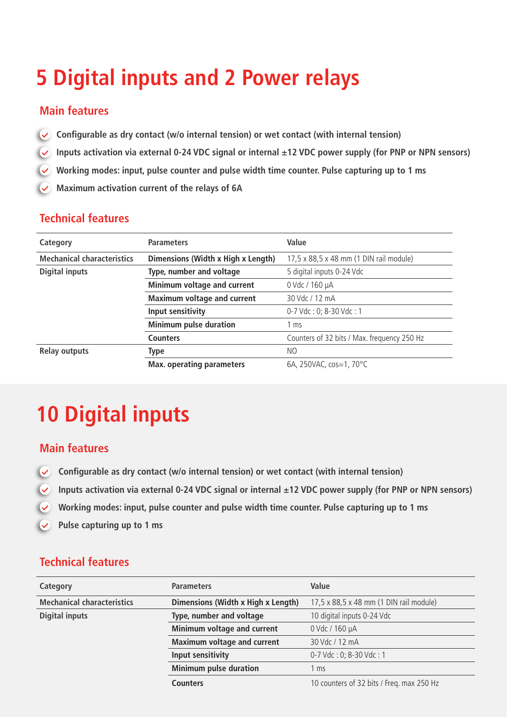## **5 Digital inputs and 2 Power relays**

#### **Main features**

- $\overline{\mathbf{v}}$ **Configurable as dry contact (w/o internal tension) or wet contact (with internal tension)**
- $\sqrt{2}$ **Inputs activation via external 0-24 VDC signal or internal ±12 VDC power supply (for PNP or NPN sensors)**
- **Working modes: input, pulse counter and pulse width time counter. Pulse capturing up to 1 ms**
- **Maximum activation current of the relays of 6A**

#### **Technical features**

| Category                          | <b>Parameters</b>                  | Value                                       |
|-----------------------------------|------------------------------------|---------------------------------------------|
| <b>Mechanical characteristics</b> | Dimensions (Width x High x Length) | 17,5 x 88,5 x 48 mm (1 DIN rail module)     |
| <b>Digital inputs</b>             | Type, number and voltage           | 5 digital inputs 0-24 Vdc                   |
|                                   | Minimum voltage and current        | 0 Vdc / 160 µA                              |
|                                   | <b>Maximum voltage and current</b> | 30 Vdc / 12 mA                              |
|                                   | Input sensitivity                  | 0-7 Vdc: 0; 8-30 Vdc: 1                     |
|                                   | <b>Minimum pulse duration</b>      | $1 \text{ ms}$                              |
|                                   | <b>Counters</b>                    | Counters of 32 bits / Max. frequency 250 Hz |
| <b>Relay outputs</b>              | <b>Type</b>                        | NO.                                         |
|                                   | <b>Max. operating parameters</b>   | 6A, 250VAC, cos=1, 70 $^{\circ}$ C          |

## **10 Digital inputs**

#### **Main features**

- $\overline{\mathsf{v}}$ **Configurable as dry contact (w/o internal tension) or wet contact (with internal tension)**
- $\overline{\mathbf{v}}$ **Inputs activation via external 0-24 VDC signal or internal ±12 VDC power supply (for PNP or NPN sensors)**
- **Working modes: input, pulse counter and pulse width time counter. Pulse capturing up to 1 ms**  $\checkmark$
- $\overline{\mathbf{v}}$ **Pulse capturing up to 1 ms**

| Category                          | <b>Parameters</b>                  | Value                                     |
|-----------------------------------|------------------------------------|-------------------------------------------|
| <b>Mechanical characteristics</b> | Dimensions (Width x High x Length) | 17,5 x 88,5 x 48 mm (1 DIN rail module)   |
| <b>Digital inputs</b>             | Type, number and voltage           | 10 digital inputs 0-24 Vdc                |
|                                   | Minimum voltage and current        | 0 Vdc / 160 µA                            |
|                                   | <b>Maximum voltage and current</b> | 30 Vdc / 12 mA                            |
|                                   | Input sensitivity                  | 0-7 Vdc: 0; 8-30 Vdc: 1                   |
|                                   | <b>Minimum pulse duration</b>      | 1 ms                                      |
|                                   | <b>Counters</b>                    | 10 counters of 32 bits / Freq. max 250 Hz |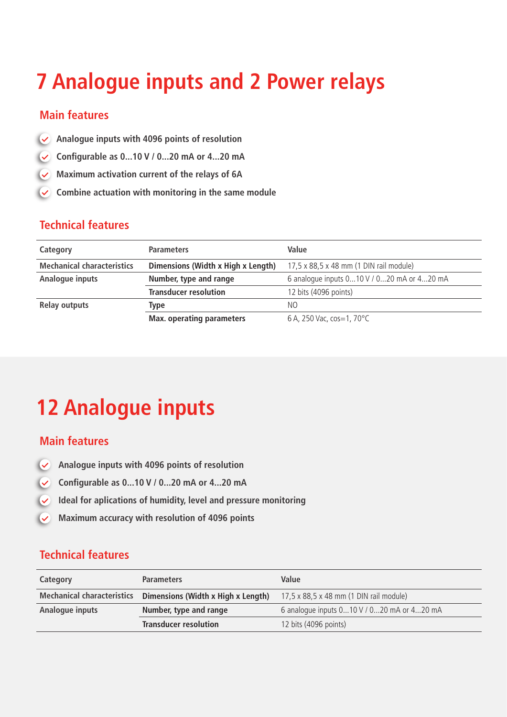## **7 Analogue inputs and 2 Power relays**

#### **Main features**

- **Analogue inputs with 4096 points of resolution**
- **Configurable as 0...10 V / 0...20 mA or 4...20 mA**
- **Maximum activation current of the relays of 6A**  $\overline{\mathsf{v}}$
- **Combine actuation with monitoring in the same module**  $\overline{\mathbf{v}}$

#### **Technical features**

| Category                          | <b>Parameters</b>                  | Value                                      |
|-----------------------------------|------------------------------------|--------------------------------------------|
| <b>Mechanical characteristics</b> | Dimensions (Width x High x Length) | 17,5 x 88,5 x 48 mm (1 DIN rail module)    |
| Analogue inputs                   | Number, type and range             | 6 analogue inputs 010 V / 020 mA or 420 mA |
|                                   | <b>Transducer resolution</b>       | 12 bits (4096 points)                      |
| <b>Relay outputs</b>              | Type                               | NO.                                        |
|                                   | <b>Max. operating parameters</b>   | 6 A, 250 Vac, cos=1, 70 °C                 |

### **12 Analogue inputs**

#### **Main features**

- **Analogue inputs with 4096 points of resolution**  $\overline{\mathbf{v}}$
- **Configurable as 0...10 V / 0...20 mA or 4...20 mA**
- $\overline{\mathcal{L}}$ **Ideal for aplications of humidity, level and pressure monitoring**
- **Maximum accuracy with resolution of 4096 points**  $\overline{\mathbf{v}}$

| Category                          | <b>Parameters</b>                  | Value                                      |
|-----------------------------------|------------------------------------|--------------------------------------------|
| <b>Mechanical characteristics</b> | Dimensions (Width x High x Length) | 17,5 x 88,5 x 48 mm (1 DIN rail module)    |
| Analogue inputs                   | Number, type and range             | 6 analogue inputs 010 V / 020 mA or 420 mA |
|                                   | <b>Transducer resolution</b>       | 12 bits (4096 points)                      |